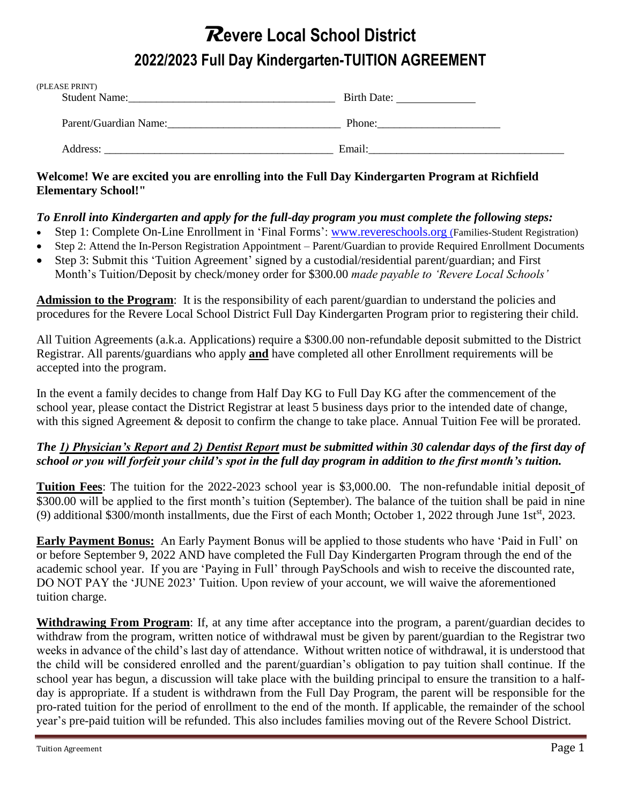## **Revere Local School District 2022/2023 Full Day Kindergarten-TUITION AGREEMENT**

| (PLEASE PRINT)<br><b>Student Name:</b> | Birth Date: |  |
|----------------------------------------|-------------|--|
|                                        |             |  |
| Parent/Guardian Name:                  | Phone:      |  |
| Address:                               | Email:      |  |

## **Welcome! We are excited you are enrolling into the Full Day Kindergarten Program at Richfield Elementary School!"**

## *To Enroll into Kindergarten and apply for the full-day program you must complete the following steps:*

- Step 1: Complete On-Line Enrollment in 'Final Forms': [www.revereschools.org](http://www.revereschools.org/) (Families-Student Registration)
- Step 2: Attend the In-Person Registration Appointment Parent/Guardian to provide Required Enrollment Documents
- Step 3: Submit this 'Tuition Agreement' signed by a custodial/residential parent/guardian; and First Month's Tuition/Deposit by check/money order for \$300.00 *made payable to 'Revere Local Schools'*

**Admission to the Program**: It is the responsibility of each parent/guardian to understand the policies and procedures for the Revere Local School District Full Day Kindergarten Program prior to registering their child.

All Tuition Agreements (a.k.a. Applications) require a \$300.00 non-refundable deposit submitted to the District Registrar. All parents/guardians who apply **and** have completed all other Enrollment requirements will be accepted into the program.

In the event a family decides to change from Half Day KG to Full Day KG after the commencement of the school year, please contact the District Registrar at least 5 business days prior to the intended date of change, with this signed Agreement & deposit to confirm the change to take place. Annual Tuition Fee will be prorated.

## *The 1) Physician's Report and 2) Dentist Report must be submitted within 30 calendar days of the first day of school or you will forfeit your child's spot in the full day program in addition to the first month's tuition.*

**Tuition Fees**: The tuition for the 2022-2023 school year is \$3,000.00. The non-refundable initial deposit of \$300.00 will be applied to the first month's tuition (September). The balance of the tuition shall be paid in nine (9) additional \$300/month installments, due the First of each Month; October 1, 2022 through June 1st<sup>st</sup>, 2023.

**Early Payment Bonus:** An Early Payment Bonus will be applied to those students who have 'Paid in Full' on or before September 9, 2022 AND have completed the Full Day Kindergarten Program through the end of the academic school year. If you are 'Paying in Full' through PaySchools and wish to receive the discounted rate, DO NOT PAY the 'JUNE 2023' Tuition. Upon review of your account, we will waive the aforementioned tuition charge.

**Withdrawing From Program**: If, at any time after acceptance into the program, a parent/guardian decides to withdraw from the program, written notice of withdrawal must be given by parent/guardian to the Registrar two weeks in advance of the child's last day of attendance. Without written notice of withdrawal, it is understood that the child will be considered enrolled and the parent/guardian's obligation to pay tuition shall continue. If the school year has begun, a discussion will take place with the building principal to ensure the transition to a halfday is appropriate. If a student is withdrawn from the Full Day Program, the parent will be responsible for the pro-rated tuition for the period of enrollment to the end of the month. If applicable, the remainder of the school year's pre-paid tuition will be refunded. This also includes families moving out of the Revere School District.